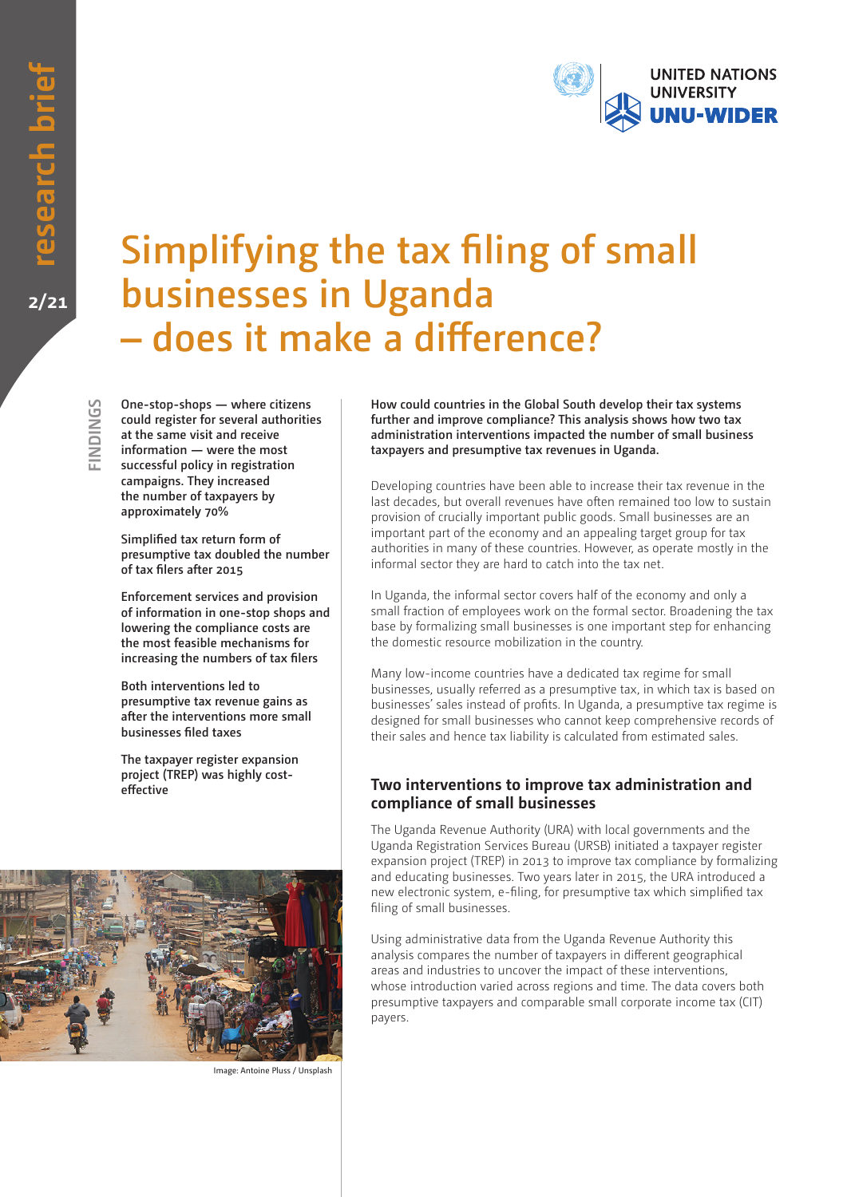

# **Simplifying the tax filing of small businesses in Uganda – does it make a difference?**

**SPNIONIS FINDINGS**

**One-stop-shops — where citizens could register for several authorities at the same visit and receive information — were the most successful policy in registration campaigns. They increased the number of taxpayers by approximately 70%**

**Simplified tax return form of presumptive tax doubled the number of tax filers after 2015**

**Enforcement services and provision of information in one-stop shops and lowering the compliance costs are the most feasible mechanisms for increasing the numbers of tax filers**

**Both interventions led to presumptive tax revenue gains as after the interventions more small businesses filed taxes**

**The taxpayer register expansion project (TREP) was highly costeffective**

**How could countries in the Global South develop their tax systems further and improve compliance? This analysis shows how two tax administration interventions impacted the number of small business taxpayers and presumptive tax revenues in Uganda.** 

Developing countries have been able to increase their tax revenue in the last decades, but overall revenues have often remained too low to sustain provision of crucially important public goods. Small businesses are an important part of the economy and an appealing target group for tax authorities in many of these countries. However, as operate mostly in the informal sector they are hard to catch into the tax net.

In Uganda, the informal sector covers half of the economy and only a small fraction of employees work on the formal sector. Broadening the tax base by formalizing small businesses is one important step for enhancing the domestic resource mobilization in the country.

Many low-income countries have a dedicated tax regime for small businesses, usually referred as a presumptive tax, in which tax is based on businesses' sales instead of profits. In Uganda, a presumptive tax regime is designed for small businesses who cannot keep comprehensive records of their sales and hence tax liability is calculated from estimated sales.

# **Two interventions to improve tax administration and compliance of small businesses**

The Uganda Revenue Authority (URA) with local governments and the Uganda Registration Services Bureau (URSB) initiated a taxpayer register expansion project (TREP) in 2013 to improve tax compliance by formalizing and educating businesses. Two years later in 2015, the URA introduced a new electronic system, e-filing, for presumptive tax which simplified tax filing of small businesses.

Using administrative data from the Uganda Revenue Authority this analysis compares the number of taxpayers in different geographical areas and industries to uncover the impact of these interventions, whose introduction varied across regions and time. The data covers both presumptive taxpayers and comparable small corporate income tax (CIT) payers.



Image: Antoine Pluss / Unsplash